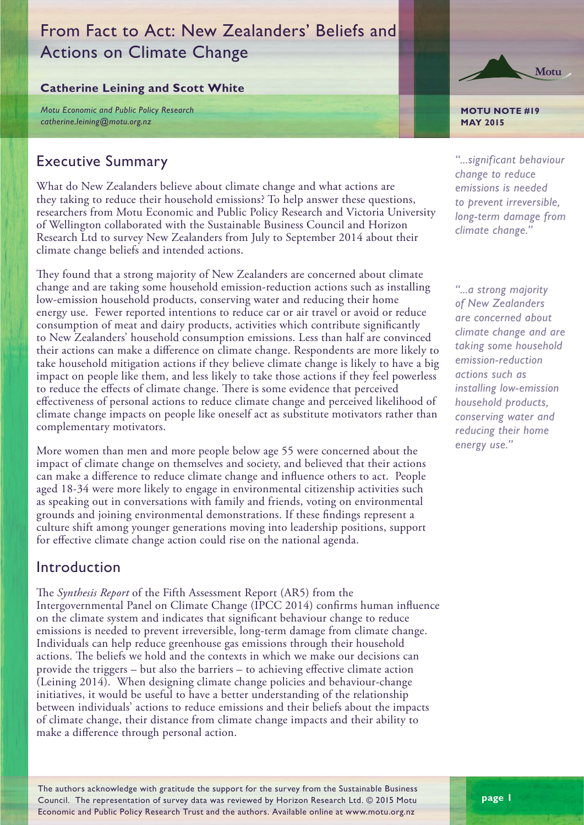# From Fact to Act: New Zealanders' Beliefs and Actions on Climate Change

## **Catherine Leining and Scott White**

*Motu Economic and Public Policy Research catherine.leining@motu.org.nz*

## Executive Summary

What do New Zealanders believe about climate change and what actions are they taking to reduce their household emissions? To help answer these questions, researchers from Motu Economic and Public Policy Research and Victoria University of Wellington collaborated with the Sustainable Business Council and Horizon Research Ltd to survey New Zealanders from July to September 2014 about their climate change beliefs and intended actions.

They found that a strong majority of New Zealanders are concerned about climate change and are taking some household emission-reduction actions such as installing low-emission household products, conserving water and reducing their home energy use. Fewer reported intentions to reduce car or air travel or avoid or reduce consumption of meat and dairy products, activities which contribute significantly to New Zealanders' household consumption emissions. Less than half are convinced their actions can make a difference on climate change. Respondents are more likely to take household mitigation actions if they believe climate change is likely to have a big impact on people like them, and less likely to take those actions if they feel powerless to reduce the effects of climate change. There is some evidence that perceived effectiveness of personal actions to reduce climate change and perceived likelihood of climate change impacts on people like oneself act as substitute motivators rather than complementary motivators.

More women than men and more people below age 55 were concerned about the impact of climate change on themselves and society, and believed that their actions can make a difference to reduce climate change and influence others to act. People aged 18-34 were more likely to engage in environmental citizenship activities such as speaking out in conversations with family and friends, voting on environmental grounds and joining environmental demonstrations. If these findings represent a culture shift among younger generations moving into leadership positions, support for effective climate change action could rise on the national agenda.

## Introduction

The *Synthesis Report* of the Fifth Assessment Report (AR5) from the Intergovernmental Panel on Climate Change (IPCC 2014) confirms human influence on the climate system and indicates that significant behaviour change to reduce emissions is needed to prevent irreversible, long-term damage from climate change. Individuals can help reduce greenhouse gas emissions through their household actions. The beliefs we hold and the contexts in which we make our decisions can provide the triggers – but also the barriers – to achieving effective climate action (Leining 2014). When designing climate change policies and behaviour-change initiatives, it would be useful to have a better understanding of the relationship between individuals' actions to reduce emissions and their beliefs about the impacts of climate change, their distance from climate change impacts and their ability to make a difference through personal action.

Motu

**MOTU NOTE #19 MAY 2015**

*"...significant behaviour change to reduce emissions is needed to prevent irreversible, long-term damage from climate change."*

*"...a strong majority of New Zealanders are concerned about climate change and are taking some household emission-reduction actions such as installing low-emission household products, conserving water and reducing their home energy use."* 

The authors acknowledge with gratitude the support for the survey from the Sustainable Business Council. The representation of survey data was reviewed by Horizon Research Ltd. © 2015 Motu Economic and Public Policy Research Trust and the authors. Available online at www.motu.org.nz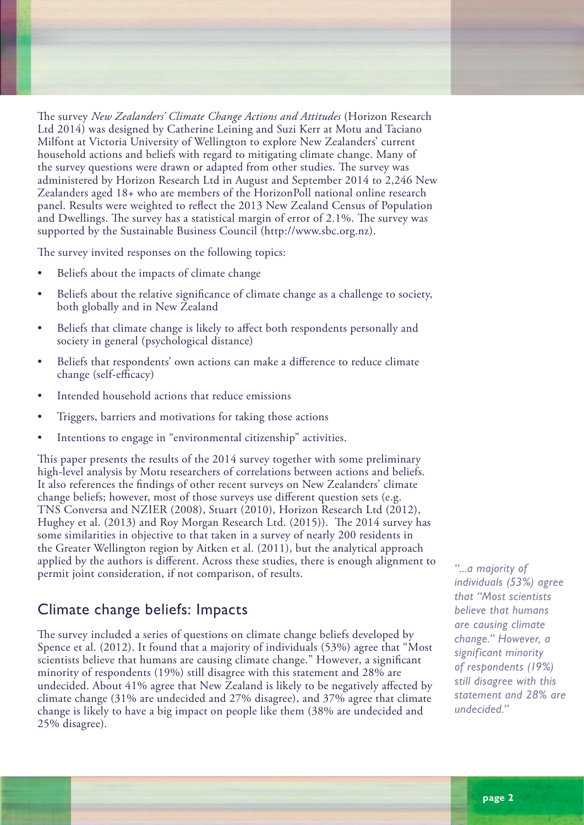The survey *New Zealanders' Climate Change Actions and Attitudes* (Horizon Research Ltd 2014) was designed by Catherine Leining and Suzi Kerr at Motu and Taciano Milfont at Victoria University of Wellington to explore New Zealanders' current household actions and beliefs with regard to mitigating climate change. Many of the survey questions were drawn or adapted from other studies. The survey was administered by Horizon Research Ltd in August and September 2014 to 2,246 New Zealanders aged 18+ who are members of the HorizonPoll national online research panel. Results were weighted to reflect the 2013 New Zealand Census of Population and Dwellings. The survey has a statistical margin of error of 2.1%. The survey was supported by the Sustainable Business Council (http://www.sbc.org.nz).

The survey invited responses on the following topics:

- Beliefs about the impacts of climate change
- Beliefs about the relative significance of climate change as a challenge to society, both globally and in New Zealand
- Beliefs that climate change is likely to affect both respondents personally and society in general (psychological distance)
- Beliefs that respondents' own actions can make a difference to reduce climate change (self-efficacy)
- Intended household actions that reduce emissions
- Triggers, barriers and motivations for taking those actions
- Intentions to engage in "environmental citizenship" activities.

This paper presents the results of the 2014 survey together with some preliminary high-level analysis by Motu researchers of correlations between actions and beliefs. It also references the findings of other recent surveys on New Zealanders' climate change beliefs; however, most of those surveys use different question sets (e.g. TNS Conversa and NZIER (2008), Stuart (2010), Horizon Research Ltd (2012), Hughey et al. (2013) and Roy Morgan Research Ltd. (2015)). The 2014 survey has some similarities in objective to that taken in a survey of nearly 200 residents in the Greater Wellington region by Aitken et al. (2011), but the analytical approach applied by the authors is different. Across these studies, there is enough alignment to permit joint consideration, if not comparison, of results.

## Climate change beliefs: Impacts

The survey included a series of questions on climate change beliefs developed by Spence et al. (2012). It found that a majority of individuals (53%) agree that "Most scientists believe that humans are causing climate change." However, a significant minority of respondents (19%) still disagree with this statement and 28% are undecided. About 41% agree that New Zealand is likely to be negatively affected by climate change (31% are undecided and 27% disagree), and 37% agree that climate change is likely to have a big impact on people like them (38% are undecided and 25% disagree).

*"...a majority of individuals (53%) agree that "Most scientists believe that humans are causing climate change." However, a significant minority of respondents (19%) still disagree with this statement and 28% are undecided."*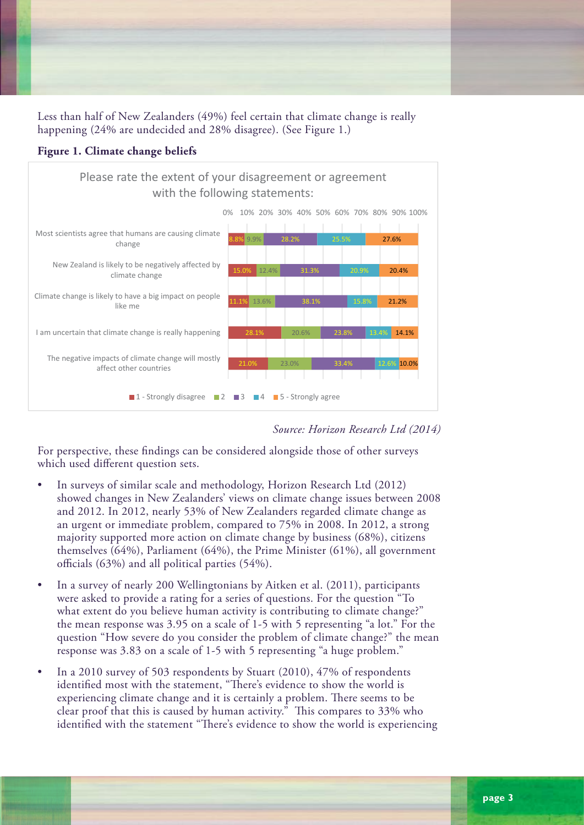Less than half of New Zealanders (49%) feel certain that climate change is really happening (24% are undecided and 28% disagree). (See Figure 1.)





Source: Horizon Research Ltd (2014)

For perspective, these findings can be considered alongside those of other surveys which used different question sets.

- $\bullet$  In surveys of similar scale and methodology, Horizon Research Ltd (2012) m surveys or similar searc and methodology, Fromson research Etd (2012).<br>showed changes in New Zealanders' views on climate change issues between 2008 and 2012. In 2012, nearly 53% of New Zealanders regarded climate change as an urgent or immediate problem, compared to 75% in 2008. In 2012, a strong majority supported more action on climate change by business (68%), citizens themselves  $(64%)$ , Parliament  $(64%)$ , the Prime Minister  $(61%)$ , all government officials  $(63\%)$  and all political parties  $(54\%)$ .
- In a survey of nearly 200 Wellingtonians by Aitken et al. (2011), participants were asked to provide a rating for a series of questions. For the question "To what extent do you believe human activity is contributing to climate change?" the mean response was 3.95 on a scale of 1-5 with 5 representing "a lot." For the question "How severe do you consider the problem of climate change?" the mean response was 3.83 on a scale of 1-5 with 5 representing "a huge problem." **8. Concern about the effects of climate change**
- In a 2010 survey of 503 respondents by Stuart (2010), 47% of respondents identified most with the statement, "There's evidence to show the world is experiencing climate change and it is certainly a problem. There seems to be clear proof that this is caused by human activity." This compares to 33% who identified with the statement "There's evidence to show the world is experiencing

Horizon Research Limited PO Box 52‐107 Kingsland 1352. Telephone 021 84 85 76 or 021 076 2040. E‐mail gcolman@horizonresearch.co.nz; or manager@horizonresearch.co.nz. www.horizonpoll.co.nz

respondents themselves.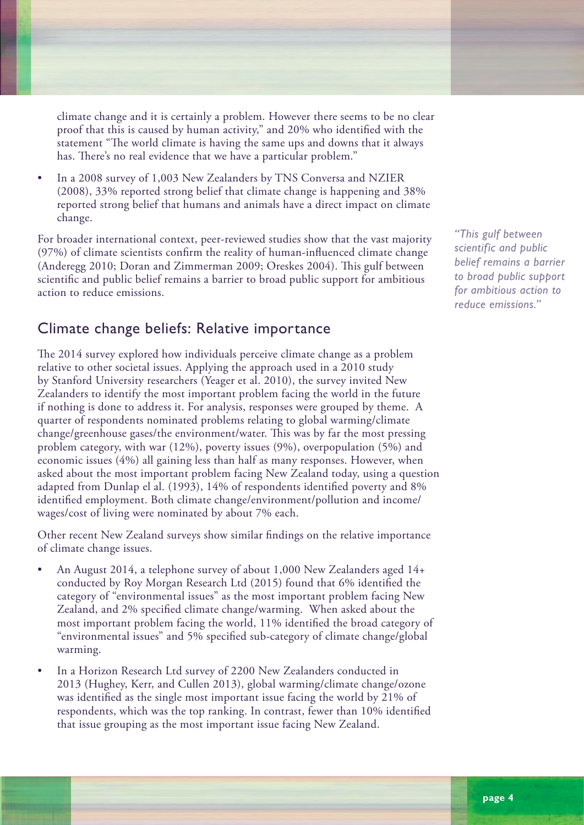climate change and it is certainly a problem. However there seems to be no clear proof that this is caused by human activity," and 20% who identified with the statement "The world climate is having the same ups and downs that it always has. There's no real evidence that we have a particular problem."

• In a 2008 survey of 1,003 New Zealanders by TNS Conversa and NZIER (2008), 33% reported strong belief that climate change is happening and 38% reported strong belief that humans and animals have a direct impact on climate change.

For broader international context, peer-reviewed studies show that the vast majority (97%) of climate scientists confirm the reality of human-influenced climate change (Anderegg 2010; Doran and Zimmerman 2009; Oreskes 2004). This gulf between scientific and public belief remains a barrier to broad public support for ambitious action to reduce emissions.

## Climate change beliefs: Relative importance

The 2014 survey explored how individuals perceive climate change as a problem relative to other societal issues. Applying the approach used in a 2010 study by Stanford University researchers (Yeager et al. 2010), the survey invited New Zealanders to identify the most important problem facing the world in the future if nothing is done to address it. For analysis, responses were grouped by theme. A quarter of respondents nominated problems relating to global warming/climate change/greenhouse gases/the environment/water. This was by far the most pressing problem category, with war (12%), poverty issues (9%), overpopulation (5%) and economic issues (4%) all gaining less than half as many responses. However, when asked about the most important problem facing New Zealand today, using a question adapted from Dunlap el al. (1993), 14% of respondents identified poverty and 8% identified employment. Both climate change/environment/pollution and income/ wages/cost of living were nominated by about 7% each.

Other recent New Zealand surveys show similar findings on the relative importance of climate change issues.

- An August 2014, a telephone survey of about 1,000 New Zealanders aged 14+ conducted by Roy Morgan Research Ltd (2015) found that 6% identified the category of "environmental issues" as the most important problem facing New Zealand, and 2% specified climate change/warming. When asked about the most important problem facing the world, 11% identified the broad category of "environmental issues" and 5% specified sub-category of climate change/global warming.
- In a Horizon Research Ltd survey of 2200 New Zealanders conducted in 2013 (Hughey, Kerr, and Cullen 2013), global warming/climate change/ozone was identified as the single most important issue facing the world by 21% of respondents, which was the top ranking. In contrast, fewer than 10% identified that issue grouping as the most important issue facing New Zealand.

*"This gulf between scientific and public belief remains a barrier to broad public support for ambitious action to reduce emissions."*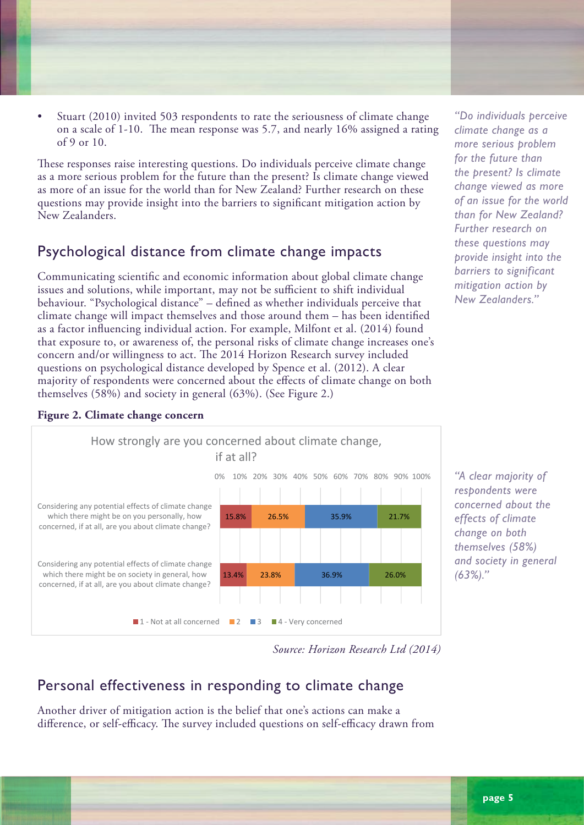• Stuart (2010) invited 503 respondents to rate the seriousness of climate change on a scale of 1-10. The mean response was 5.7, and nearly 16% assigned a rating of 9 or 10.

These responses raise interesting questions. Do individuals perceive climate change as a more serious problem for the future than the present? Is climate change viewed as more of an issue for the world than for New Zealand? Further research on these questions may provide insight into the barriers to significant mitigation action by New Zealanders.

## Psychological distance from climate change impacts

Communicating scientific and economic information about global climate change issues and solutions, while important, may not be sufficient to shift individual behaviour. "Psychological distance" – defined as whether individuals perceive that climate change will impact themselves and those around them – has been identified as a factor influencing individual action. For example, Milfont et al. (2014) found that exposure to, or awareness of, the personal risks of climate change increases one's concern and/or willingness to act. The 2014 Horizon Research survey included questions on psychological distance developed by Spence et al. (2012). A clear majority of respondents were concerned about the effects of climate change on both themselves (58%) and society in general (63%). (See Figure 2.)



**Figure 2. Climate change concern**

*"Do individuals perceive climate change as a more serious problem for the future than the present? Is climate change viewed as more of an issue for the world than for New Zealand? Further research on these questions may provide insight into the barriers to significant mitigation action by New Zealanders."*

*"A clear majority of respondents were concerned about the effects of climate change on both themselves (58%) and society in general (63%)."*

## Personal effectiveness in responding to climate change

Another driver of mitigation action is the belief that one's actions can make a difference, or self-efficacy. The survey included questions on self-efficacy drawn from themselves. 694,200 of them say they are very concerned.

*Source: Horizon Research Ltd (2014)*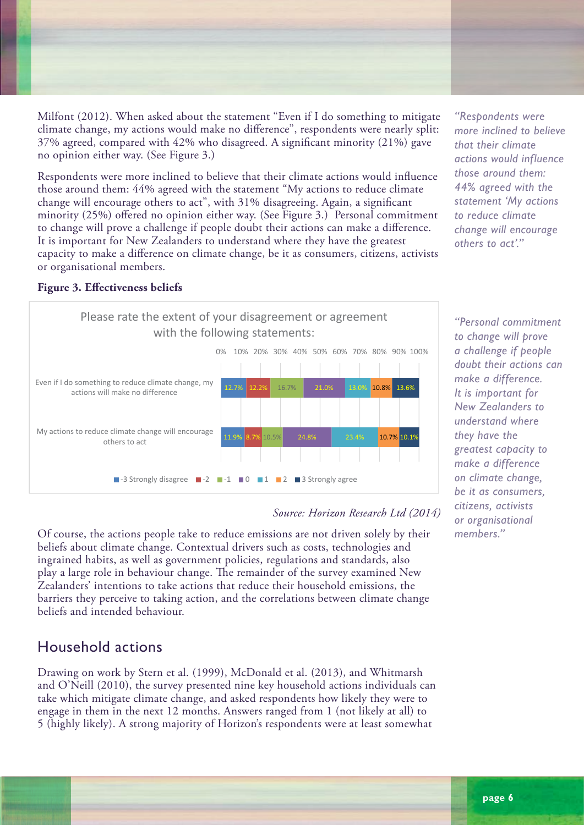Milfont (2012). When asked about the statement "Even if I do something to mitigate climate change, my actions would make no difference", respondents were nearly split: and the change, my actions would make no difference, respondents were hearly spirit 37% agreed, compared with 42% who disagreed. A significant minority (21%) gave more response with the contract more response in eigenvents strongly (21%)  $\mathbf{d}$  is statistically significant, it is sufficiently small to support that the New Zealand adult that the New Zealand adult that the New Zealand adult that the New Zealand adult that the New Zealand adult that the Ne

**6. Beliefs about personal effectiveness to reduce climate change**

of the impact their personal actions could make on reducing climate change.

Respondents were asked to use a scale from ‐3 (strongly disagree) to 3 (strongly agree) to rate their level of agreement or disagreement with two statements, aimed at measuring their view

Respondents were more inclined to believe that their climate actions would influence those around them: 44% agreed with the statement "My actions to reduce climate change will encourage others to act", with 31% disagreeing. Again, a significant minority (25%) offered no opinion either way. (See Figure 3.) Personal commitment to change will prove a challenge if people doubt their actions can make a difference. It is important for New Zealanders to understand where they have the greatest capacity to make a difference on climate change, be it as consumers, citizens, activists or organisational members.

*"Respondents were more inclined to believe that their climate actions would influence those around them: 44% agreed with the statement 'My actions to reduce climate change will encourage others to act'."*

#### **Figure 3. Effectiveness beliefs**  $\Gamma$  and the two statements are zero.



## *Source: Horizon Research Ltd (2014)*

Of course, the actions people take to reduce emissions are not driven solely by their beliefs about climate change. Contextual drivers such as costs, technologies and ingrained habits, as well as government policies, regulations and standards, also play a large role in behaviour change. The remainder of the survey examined New Zealanders' intentions to take actions that reduce their household emissions, the barriers they perceive to taking action, and the correlations between climate change beliefs and intended behaviour.

## **The approximate numbers of New Zealanders 18 years of New Zealanders 18 years of 20 years of 20 years of 20 years of 20 years of 20 years of 20 years of 20 years of 20 years of 20 years of 20 years of 20 years of 20 years**

Drawing on work by Stern et al. (1999), McDonald et al. (2013), and Whitmarsh and O'Neill (2010), the survey presented nine key household actions individuals can take which mitigate climate change, and asked respondents how likely they were to engage in them in the next 12 months. Answers ranged from 1 (not likely at all) to 5 (highly likely). A strong majority of Horizon's respondents were at least somewhat

*"Personal commitment to change will prove a challenge if people doubt their actions can make a difference. It is important for New Zealanders to understand where they have the greatest capacity to make a difference on climate change, be it as consumers, citizens, activists or organisational members."*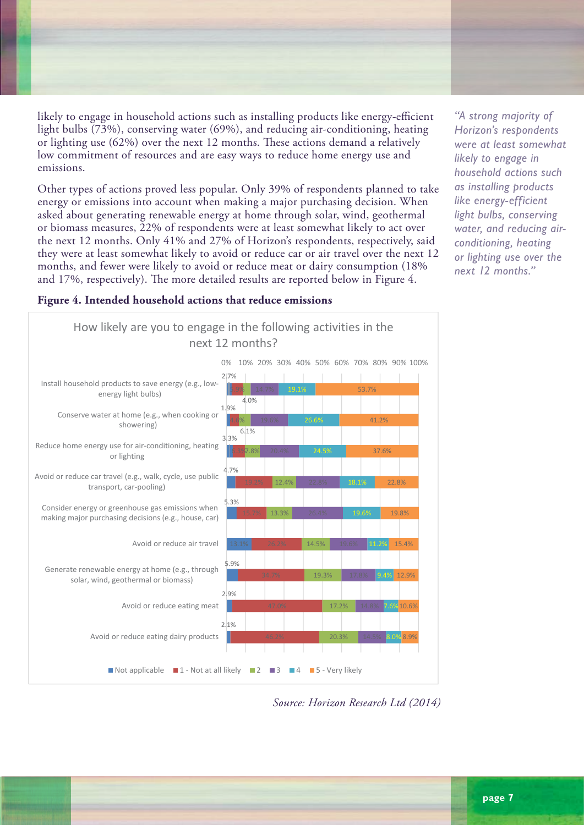likely to engage in household actions such as installing products like energy-efficient light bulbs (73%), conserving water (69%), and reducing air-conditioning, heating or lighting use (62%) over the next 12 months. These actions demand a relatively low commitment of resources and are easy ways to reduce home energy use and emissions.

Other types of actions proved less popular. Only 39% of respondents planned to take energy or emissions into account when making a major purchasing decision. When asked about generating renewable energy at home through solar, wind, geothermal or biomass measures, 22% of respondents were at least somewhat likely to act over the next 12 months. Only 41% and 27% of Horizon's respondents, respectively, said they were at least somewhat likely to avoid or reduce car or air travel over the next 12 months, and fewer were likely to avoid or reduce meat or dairy consumption (18% and 17%, respectively). The more detailed results are reported below in Figure 4.

*"A strong majority of Horizon's respondents were at least somewhat likely to engage in household actions such as installing products like energy-efficient light bulbs, conserving water, and reducing airconditioning, heating or lighting use over the next 12 months."*

### **Figure 4. Intended household actions that reduce emissions**



Reduce home energy use for air‐conditioning, heating or lighting: 1,202,800.

Consider energy or greenhouse gas emissions when making major purchasing decisions:

Avoid or reduce car travel: 729,300.

633,400.

Source: Horizon Research Ltd (2014)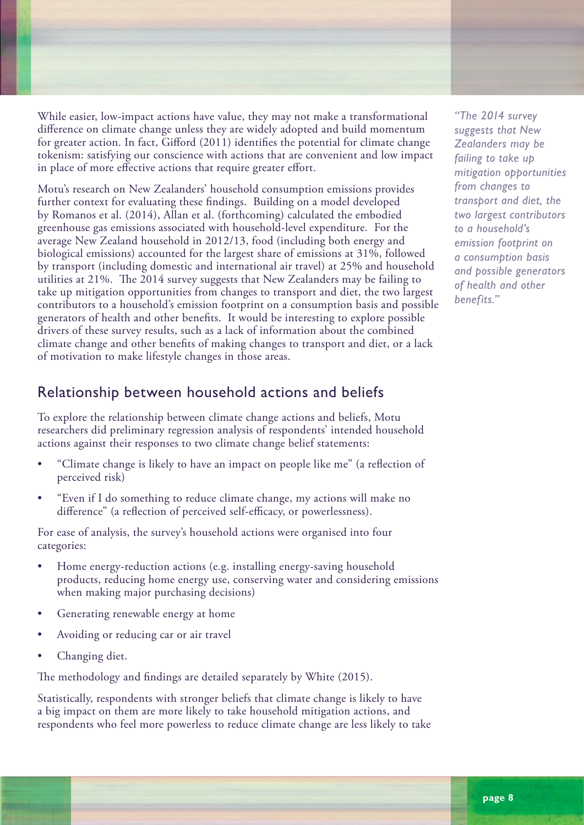While easier, low-impact actions have value, they may not make a transformational difference on climate change unless they are widely adopted and build momentum for greater action. In fact, Gifford (2011) identifies the potential for climate change tokenism: satisfying our conscience with actions that are convenient and low impact in place of more effective actions that require greater effort.

Motu's research on New Zealanders' household consumption emissions provides further context for evaluating these findings. Building on a model developed by Romanos et al. (2014), Allan et al. (forthcoming) calculated the embodied greenhouse gas emissions associated with household-level expenditure. For the average New Zealand household in 2012/13, food (including both energy and biological emissions) accounted for the largest share of emissions at 31%, followed by transport (including domestic and international air travel) at 25% and household utilities at 21%. The 2014 survey suggests that New Zealanders may be failing to take up mitigation opportunities from changes to transport and diet, the two largest contributors to a household's emission footprint on a consumption basis and possible generators of health and other benefits. It would be interesting to explore possible drivers of these survey results, such as a lack of information about the combined climate change and other benefits of making changes to transport and diet, or a lack of motivation to make lifestyle changes in those areas.

## Relationship between household actions and beliefs

To explore the relationship between climate change actions and beliefs, Motu researchers did preliminary regression analysis of respondents' intended household actions against their responses to two climate change belief statements:

- "Climate change is likely to have an impact on people like me" (a reflection of perceived risk)
- "Even if I do something to reduce climate change, my actions will make no difference" (a reflection of perceived self-efficacy, or powerlessness).

For ease of analysis, the survey's household actions were organised into four categories:

- Home energy-reduction actions (e.g. installing energy-saving household products, reducing home energy use, conserving water and considering emissions when making major purchasing decisions)
- Generating renewable energy at home
- Avoiding or reducing car or air travel
- Changing diet.

The methodology and findings are detailed separately by White (2015).

Statistically, respondents with stronger beliefs that climate change is likely to have a big impact on them are more likely to take household mitigation actions, and respondents who feel more powerless to reduce climate change are less likely to take

*"The 2014 survey suggests that New Zealanders may be failing to take up mitigation opportunities from changes to transport and diet, the two largest contributors to a household's emission footprint on a consumption basis and possible generators of health and other benefits."*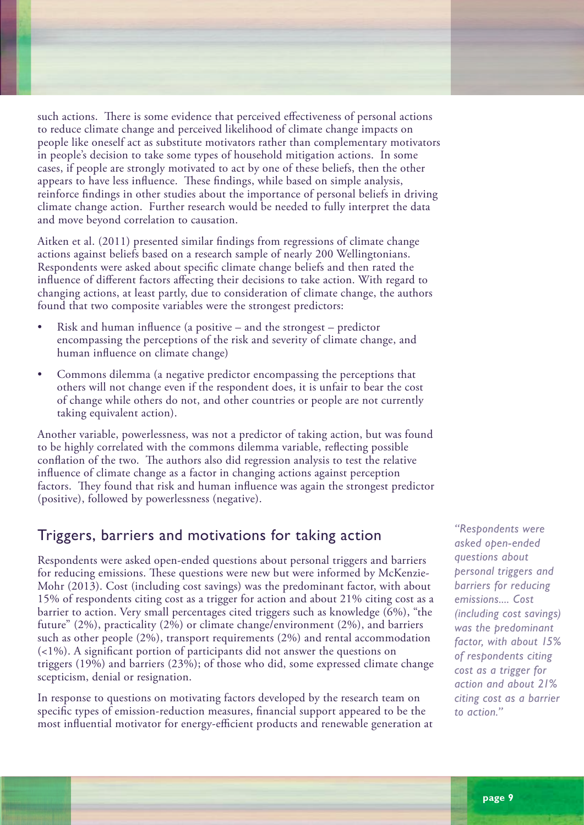such actions. There is some evidence that perceived effectiveness of personal actions to reduce climate change and perceived likelihood of climate change impacts on people like oneself act as substitute motivators rather than complementary motivators in people's decision to take some types of household mitigation actions. In some cases, if people are strongly motivated to act by one of these beliefs, then the other appears to have less influence. These findings, while based on simple analysis, reinforce findings in other studies about the importance of personal beliefs in driving climate change action. Further research would be needed to fully interpret the data and move beyond correlation to causation.

Aitken et al. (2011) presented similar findings from regressions of climate change actions against beliefs based on a research sample of nearly 200 Wellingtonians. Respondents were asked about specific climate change beliefs and then rated the influence of different factors affecting their decisions to take action. With regard to changing actions, at least partly, due to consideration of climate change, the authors found that two composite variables were the strongest predictors:

- Risk and human influence (a positive  $-$  and the strongest  $-$  predictor encompassing the perceptions of the risk and severity of climate change, and human influence on climate change)
- Commons dilemma (a negative predictor encompassing the perceptions that others will not change even if the respondent does, it is unfair to bear the cost of change while others do not, and other countries or people are not currently taking equivalent action).

Another variable, powerlessness, was not a predictor of taking action, but was found to be highly correlated with the commons dilemma variable, reflecting possible conflation of the two. The authors also did regression analysis to test the relative influence of climate change as a factor in changing actions against perception factors. They found that risk and human influence was again the strongest predictor (positive), followed by powerlessness (negative).

## Triggers, barriers and motivations for taking action

Respondents were asked open-ended questions about personal triggers and barriers for reducing emissions. These questions were new but were informed by McKenzie-Mohr (2013). Cost (including cost savings) was the predominant factor, with about 15% of respondents citing cost as a trigger for action and about 21% citing cost as a barrier to action. Very small percentages cited triggers such as knowledge (6%), "the future" (2%), practicality (2%) or climate change/environment (2%), and barriers such as other people (2%), transport requirements (2%) and rental accommodation (<1%). A significant portion of participants did not answer the questions on triggers (19%) and barriers (23%); of those who did, some expressed climate change scepticism, denial or resignation.

In response to questions on motivating factors developed by the research team on specific types of emission-reduction measures, financial support appeared to be the most influential motivator for energy-efficient products and renewable generation at

*"Respondents were asked open-ended questions about personal triggers and barriers for reducing emissions.... Cost (including cost savings) was the predominant factor, with about 15% of respondents citing cost as a trigger for action and about 21% citing cost as a barrier to action."*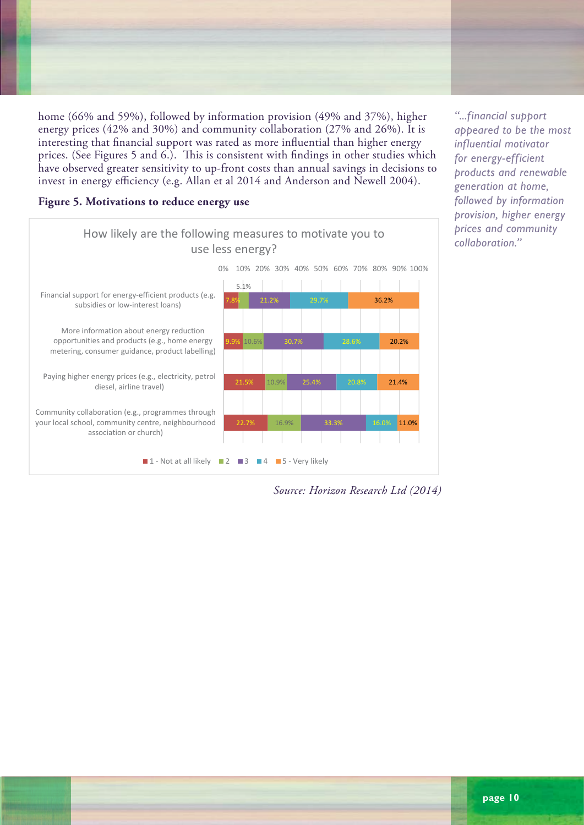home (66% and 59%), followed by information provision (49% and 37%), higher energy prices (42% and 30%) and community collaboration (27% and 26%). It is interesting that financial support was rated as more influential than higher energy prices. (See Figures 5 and 6.). This is consistent with findings in other studies which have observed greater sensitivity to up-front costs than annual savings in decisions to invest in energy efficiency (e.g. Allan et al 2014 and Anderson and Newell 2004).

### **Figure 5. Motivations to reduce energy use**

For example:



35% fewer will "Very likely" be motivated to generate renewable energy by a rise in

energy prices than will "Very likely" be motivated to reduce energy use.

*"...financial support appeared to be the most influential motivator for energy-efficient products and renewable generation at home, followed by information provision, higher energy prices and community collaboration."*

*Source: Horizon Research Ltd (2014)*  $T_{\text{S}}$  years of age or over  $T_{\text{S}}$  years of age or over  $\alpha$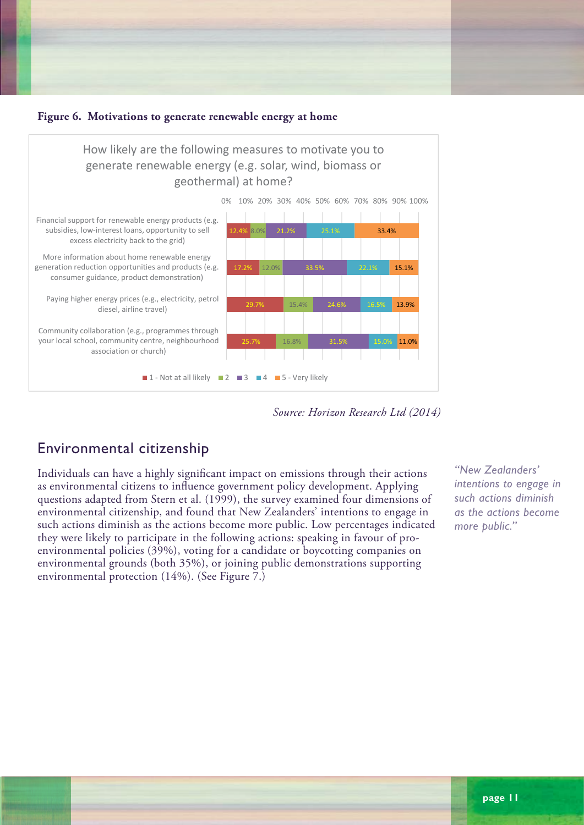

Figure **6.** Motivations to generate renewable energy at home

likely" as the level of motivation from each factor declined with increasing age.

As with the results for using less energy, the percentage of respondents who selected "Very

Respondents aged 18‐24, while less motivated in general by any of these measures, were

*Source: Horizon Research Ltd (2014)*  $T_{\text{Cov}}$   $T_{\text{Cov}}$   $T_{\text{Cov}}$   $T_{\text{Cov}}$   $T_{\text{Cov}}$   $T_{\text{Cov}}$   $T_{\text{Cov}}$   $T_{\text{Cov}}$   $T_{\text{Cov}}$   $T_{\text{Cov}}$   $T_{\text{Cov}}$   $T_{\text{Cov}}$   $T_{\text{Cov}}$   $T_{\text{Cov}}$   $T_{\text{Cov}}$   $T_{\text{Cov}}$   $T_{\text{Cov}}$   $T_{\text{Cov}}$   $T_{\text{Cov}}$   $T_{\text{Cov}}$ 

# Environmental citizenship

Individuals can have a highly significant impact on emissions through their actions as environmental citizens to influence government policy development. Applying as environmental citizens to inhuence government policy development. Applying<br>questions adapted from Stern et al. (1999), the survey examined four dimensions of environmental citizenship, and found that New Zealanders' intentions to engage in such actions diminish as the actions become more public. Low percentages indicated they were likely to participate in the following actions: speaking in favour of proenvironmental policies (39%), voting for a candidate or boycotting companies on environmental grounds (both 35%), or joining public demonstrations supporting environmental protection (14%). (See Figure 7.)

*"New Zealanders' intentions to engage in such actions diminish as the actions become more public."*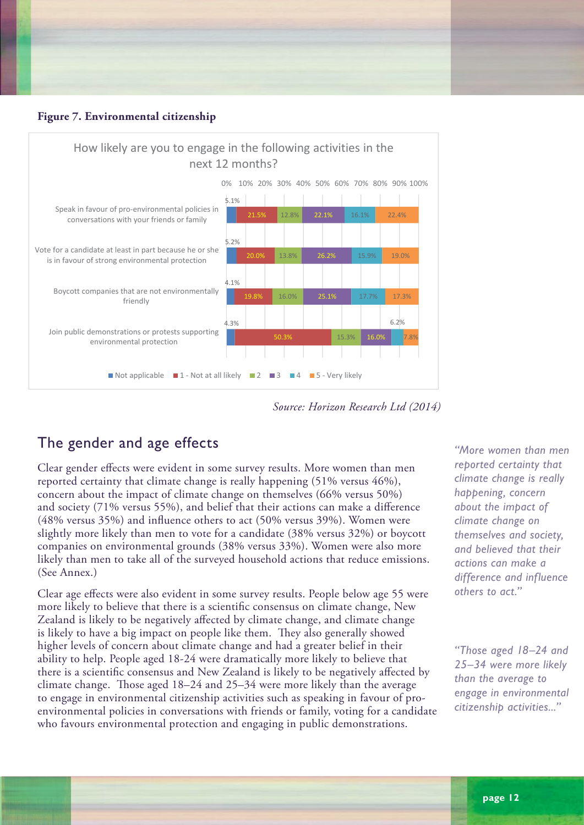



*Source: Horizon Research Ltd (2014)* 

# The gender and age effects  $\blacksquare$

Clear gender effects were evident in some survey results. More women than men reported certainty that climate change is really happening  $(51\%$  versus  $46\%)$ , concern about the impact of climate change on themselves (66% versus 50%) edictive about the impact of enfinate enange on themselves (60% versus 50%) and society (71% versus 55%), and belief that their actions can make a difference  $(48\%$  versus  $35\%$ ) and influence others to act  $(50\%$  versus  $39\%$ ). Women were slightly more likely than men to vote for a candidate (38% versus 32%) or boycott companies on environmental grounds (38% versus 33%). Women were also more likely than men to take all of the surveyed household actions that reduce emissions. (See Annex.)

Clear age effects were also evident in some survey results. People below age 55 were more likely to believe that there is a scientific consensus on climate change, New Zealand is likely to be negatively affected by climate change, and climate change is likely to have a big impact on people like them. They also generally showed higher levels of concern about climate change and had a greater belief in their ability to help. People aged 18-24 were dramatically more likely to believe that there is a scientific consensus and New Zealand is likely to be negatively affected by climate change. Those aged 18–24 and 25–34 were more likely than the average to engage in environmental citizenship activities such as speaking in favour of proenvironmental policies in conversations with friends or family, voting for a candidate who favours environmental protection and engaging in public demonstrations.

Horizon Research Limited PO Box 52‐107 Kingsland 1352. Telephone 021 84 85 76 or 021 076 2040. E‐mail gcolman@horizonresearch.co.nz; or manager@horizonresearch.co.nz. www.horizonpoll.co.nz

*"More women than men reported certainty that climate change is really happening, concern about the impact of climate change on themselves and society, and believed that their actions can make a difference and influence others to act."*

*"Those aged 18–24 and 25–34 were more likely than the average to engage in environmental citizenship activities..."*

Page 21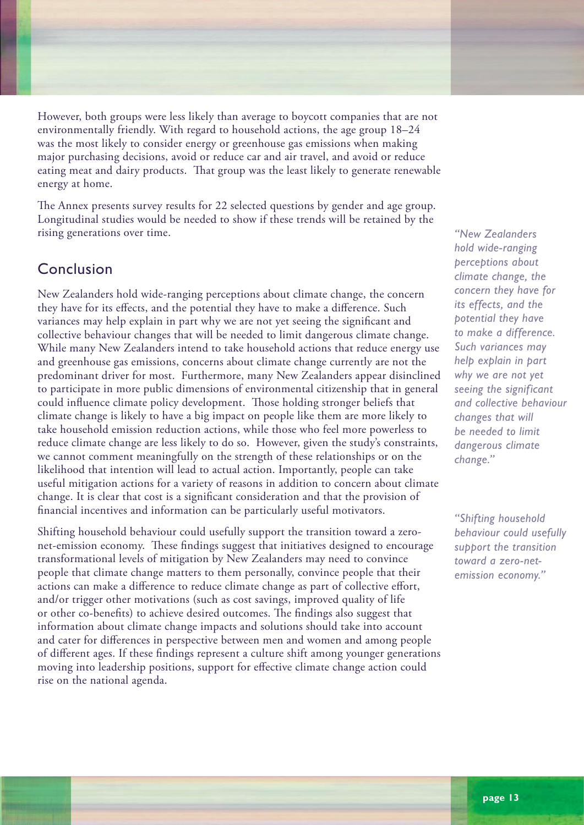However, both groups were less likely than average to boycott companies that are not environmentally friendly. With regard to household actions, the age group 18–24 was the most likely to consider energy or greenhouse gas emissions when making major purchasing decisions, avoid or reduce car and air travel, and avoid or reduce eating meat and dairy products. That group was the least likely to generate renewable energy at home.

The Annex presents survey results for 22 selected questions by gender and age group. Longitudinal studies would be needed to show if these trends will be retained by the rising generations over time.

## Conclusion

New Zealanders hold wide-ranging perceptions about climate change, the concern they have for its effects, and the potential they have to make a difference. Such variances may help explain in part why we are not yet seeing the significant and collective behaviour changes that will be needed to limit dangerous climate change. While many New Zealanders intend to take household actions that reduce energy use and greenhouse gas emissions, concerns about climate change currently are not the predominant driver for most. Furthermore, many New Zealanders appear disinclined to participate in more public dimensions of environmental citizenship that in general could influence climate policy development. Those holding stronger beliefs that climate change is likely to have a big impact on people like them are more likely to take household emission reduction actions, while those who feel more powerless to reduce climate change are less likely to do so. However, given the study's constraints, we cannot comment meaningfully on the strength of these relationships or on the likelihood that intention will lead to actual action. Importantly, people can take useful mitigation actions for a variety of reasons in addition to concern about climate change. It is clear that cost is a significant consideration and that the provision of financial incentives and information can be particularly useful motivators.

Shifting household behaviour could usefully support the transition toward a zeronet-emission economy. These findings suggest that initiatives designed to encourage transformational levels of mitigation by New Zealanders may need to convince people that climate change matters to them personally, convince people that their actions can make a difference to reduce climate change as part of collective effort, and/or trigger other motivations (such as cost savings, improved quality of life or other co-benefits) to achieve desired outcomes. The findings also suggest that information about climate change impacts and solutions should take into account and cater for differences in perspective between men and women and among people of different ages. If these findings represent a culture shift among younger generations moving into leadership positions, support for effective climate change action could rise on the national agenda.

*"New Zealanders hold wide-ranging perceptions about climate change, the concern they have for its effects, and the potential they have to make a difference. Such variances may help explain in part why we are not yet seeing the significant and collective behaviour changes that will be needed to limit dangerous climate change."*

*"Shifting household behaviour could usefully support the transition toward a zero-netemission economy."*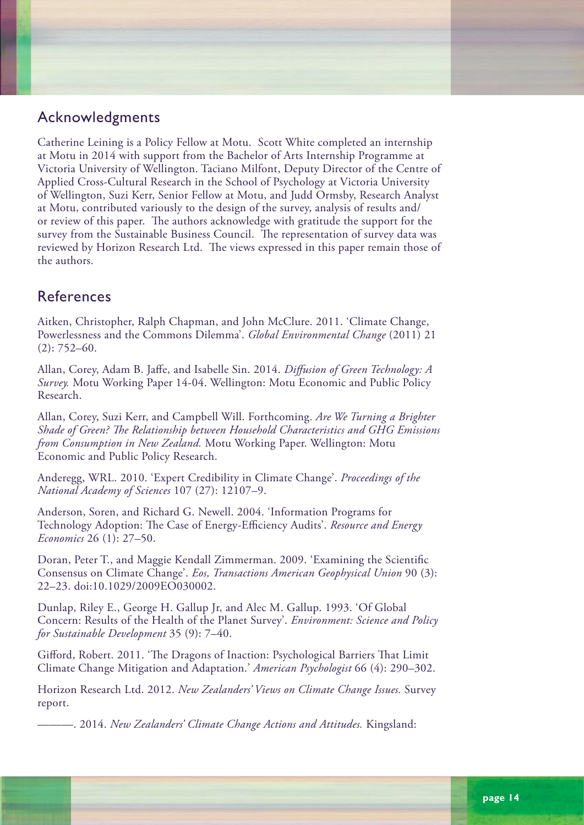## Acknowledgments

Catherine Leining is a Policy Fellow at Motu. Scott White completed an internship at Motu in 2014 with support from the Bachelor of Arts Internship Programme at Victoria University of Wellington. Taciano Milfont, Deputy Director of the Centre of Applied Cross-Cultural Research in the School of Psychology at Victoria University of Wellington, Suzi Kerr, Senior Fellow at Motu, and Judd Ormsby, Research Analyst at Motu, contributed variously to the design of the survey, analysis of results and/ or review of this paper. The authors acknowledge with gratitude the support for the survey from the Sustainable Business Council. The representation of survey data was reviewed by Horizon Research Ltd. The views expressed in this paper remain those of the authors.

## References

Aitken, Christopher, Ralph Chapman, and John McClure. 2011. 'Climate Change, Powerlessness and the Commons Dilemma'. *Global Environmental Change* (2011) 21 (2): 752–60.

Allan, Corey, Adam B. Jaffe, and Isabelle Sin. 2014. *Diffusion of Green Technology: A Survey.* Motu Working Paper 14-04. Wellington: Motu Economic and Public Policy Research.

Allan, Corey, Suzi Kerr, and Campbell Will. Forthcoming. *Are We Turning a Brighter Shade of Green? The Relationship between Household Characteristics and GHG Emissions from Consumption in New Zealand.* Motu Working Paper. Wellington: Motu Economic and Public Policy Research.

Anderegg, WRL. 2010. 'Expert Credibility in Climate Change'. *Proceedings of the National Academy of Sciences* 107 (27): 12107–9.

Anderson, Soren, and Richard G. Newell. 2004. 'Information Programs for Technology Adoption: The Case of Energy-Efficiency Audits'. *Resource and Energy Economics* 26 (1): 27–50.

Doran, Peter T., and Maggie Kendall Zimmerman. 2009. 'Examining the Scientific Consensus on Climate Change'. *Eos, Transactions American Geophysical Union* 90 (3): 22–23. doi:10.1029/2009EO030002.

Dunlap, Riley E., George H. Gallup Jr, and Alec M. Gallup. 1993. 'Of Global Concern: Results of the Health of the Planet Survey'. *Environment: Science and Policy for Sustainable Development* 35 (9): 7–40.

Gifford, Robert. 2011. 'The Dragons of Inaction: Psychological Barriers That Limit Climate Change Mitigation and Adaptation.' *American Psychologist* 66 (4): 290–302.

Horizon Research Ltd. 2012. *New Zealanders' Views on Climate Change Issues.* Survey report.

———. 2014. *New Zealanders' Climate Change Actions and Attitudes.* Kingsland: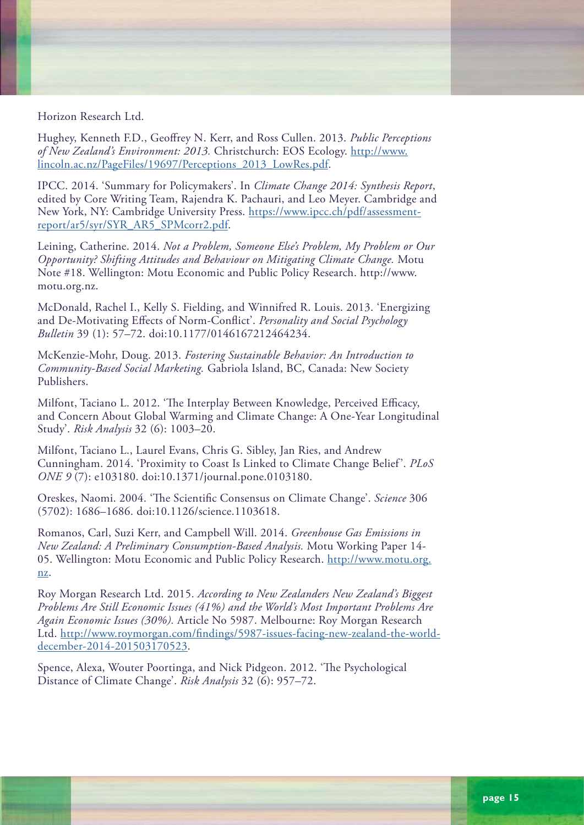Horizon Research Ltd.

Hughey, Kenneth F.D., Geoffrey N. Kerr, and Ross Cullen. 2013. *Public Perceptions of New Zealand's Environment: 2013.* Christchurch: EOS Ecology. [http://www.](http://www.lincoln.ac.nz/PageFiles/19697/Perceptions_2013_LowRes.pdf) [lincoln.ac.nz/PageFiles/19697/Perceptions\\_2013\\_LowRes.pdf.](http://www.lincoln.ac.nz/PageFiles/19697/Perceptions_2013_LowRes.pdf)

IPCC. 2014. 'Summary for Policymakers'. In *Climate Change 2014: Synthesis Report*, edited by Core Writing Team, Rajendra K. Pachauri, and Leo Meyer. Cambridge and New York, NY: Cambridge University Press. [https://www.ipcc.ch/pdf/assessment](https://www.ipcc.ch/pdf/assessment-report/ar5/syr/SYR_AR5_SPMcorr2.pdf)[report/ar5/syr/SYR\\_AR5\\_SPMcorr2.pdf](https://www.ipcc.ch/pdf/assessment-report/ar5/syr/SYR_AR5_SPMcorr2.pdf).

Leining, Catherine. 2014. *Not a Problem, Someone Else's Problem, My Problem or Our Opportunity? Shifting Attitudes and Behaviour on Mitigating Climate Change.* Motu Note #18. Wellington: Motu Economic and Public Policy Research. http://www. motu.org.nz.

McDonald, Rachel I., Kelly S. Fielding, and Winnifred R. Louis. 2013. 'Energizing and De-Motivating Effects of Norm-Conflict'. *Personality and Social Psychology Bulletin* 39 (1): 57–72. doi:10.1177/0146167212464234.

McKenzie-Mohr, Doug. 2013. *Fostering Sustainable Behavior: An Introduction to Community-Based Social Marketing.* Gabriola Island, BC, Canada: New Society Publishers.

Milfont, Taciano L. 2012. 'The Interplay Between Knowledge, Perceived Efficacy, and Concern About Global Warming and Climate Change: A One-Year Longitudinal Study'. *Risk Analysis* 32 (6): 1003–20.

Milfont, Taciano L., Laurel Evans, Chris G. Sibley, Jan Ries, and Andrew Cunningham. 2014. 'Proximity to Coast Is Linked to Climate Change Belief '. *PLoS ONE 9* (7): e103180. doi:10.1371/journal.pone.0103180.

Oreskes, Naomi. 2004. 'The Scientific Consensus on Climate Change'. *Science* 306 (5702): 1686–1686. doi:10.1126/science.1103618.

Romanos, Carl, Suzi Kerr, and Campbell Will. 2014. *Greenhouse Gas Emissions in New Zealand: A Preliminary Consumption-Based Analysis.* Motu Working Paper 14- 05. Wellington: Motu Economic and Public Policy Research. [http://www.motu.org.](http://www.motu.org.nz) [nz](http://www.motu.org.nz).

Roy Morgan Research Ltd. 2015. *According to New Zealanders New Zealand's Biggest Problems Are Still Economic Issues (41%) and the World's Most Important Problems Are Again Economic Issues (30%).* Article No 5987. Melbourne: Roy Morgan Research Ltd. [http://www.roymorgan.com/findings/5987-issues-facing-new-zealand-the-world](http://www.roymorgan.com/findings/5987-issues-facing-new-zealand-the-world-december-2014-201503170523)[december-2014-201503170523](http://www.roymorgan.com/findings/5987-issues-facing-new-zealand-the-world-december-2014-201503170523).

Spence, Alexa, Wouter Poortinga, and Nick Pidgeon. 2012. 'The Psychological Distance of Climate Change'. *Risk Analysis* 32 (6): 957–72.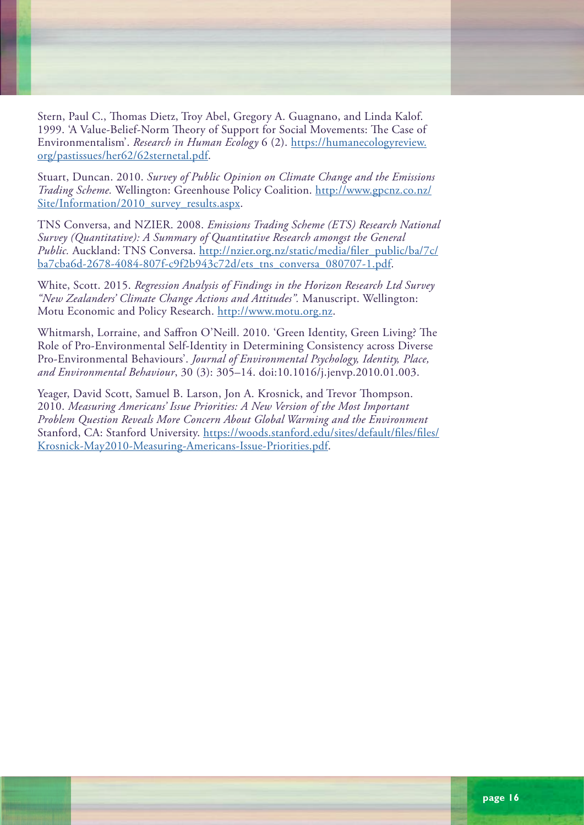Stern, Paul C., Thomas Dietz, Troy Abel, Gregory A. Guagnano, and Linda Kalof. 1999. 'A Value-Belief-Norm Theory of Support for Social Movements: The Case of Environmentalism'. *Research in Human Ecology* 6 (2). [https://humanecologyreview.](https://humanecologyreview.org/pastissues/her62/62sternetal.pdf) [org/pastissues/her62/62sternetal.pdf](https://humanecologyreview.org/pastissues/her62/62sternetal.pdf).

Stuart, Duncan. 2010. *Survey of Public Opinion on Climate Change and the Emissions Trading Scheme.* Wellington: Greenhouse Policy Coalition. [http://www.gpcnz.co.nz/](http://www.gpcnz.co.nz/Site/Information/2010_survey_results.aspx) [Site/Information/2010\\_survey\\_results.aspx.](http://www.gpcnz.co.nz/Site/Information/2010_survey_results.aspx)

TNS Conversa, and NZIER. 2008. *Emissions Trading Scheme (ETS) Research National Survey (Quantitative): A Summary of Quantitative Research amongst the General Public.* Auckland: TNS Conversa. [http://nzier.org.nz/static/media/filer\\_public/ba/7c/](http://nzier.org.nz/static/media/filer_public/ba/7c/ba7cba6d-2678-4084-807f-c9f2b943c72d/ets_tns_conversa_080707-1.pdf) [ba7cba6d-2678-4084-807f-c9f2b943c72d/ets\\_tns\\_conversa\\_080707-1.pdf.](http://nzier.org.nz/static/media/filer_public/ba/7c/ba7cba6d-2678-4084-807f-c9f2b943c72d/ets_tns_conversa_080707-1.pdf)

White, Scott. 2015. *Regression Analysis of Findings in the Horizon Research Ltd Survey "New Zealanders' Climate Change Actions and Attitudes".* Manuscript. Wellington: Motu Economic and Policy Research. <http://www.motu.org.nz>.

Whitmarsh, Lorraine, and Saffron O'Neill. 2010. 'Green Identity, Green Living? The Role of Pro-Environmental Self-Identity in Determining Consistency across Diverse Pro-Environmental Behaviours'. *Journal of Environmental Psychology, Identity, Place, and Environmental Behaviour*, 30 (3): 305–14. doi:10.1016/j.jenvp.2010.01.003.

Yeager, David Scott, Samuel B. Larson, Jon A. Krosnick, and Trevor Thompson. 2010. *Measuring Americans' Issue Priorities: A New Version of the Most Important Problem Question Reveals More Concern About Global Warming and the Environment* Stanford, CA: Stanford University. [https://woods.stanford.edu/sites/default/files/files/](https://woods.stanford.edu/sites/default/files/files/Krosnick-May2010-Measuring-Americans-Issue-Priorities.pdf) [Krosnick-May2010-Measuring-Americans-Issue-Priorities.pdf](https://woods.stanford.edu/sites/default/files/files/Krosnick-May2010-Measuring-Americans-Issue-Priorities.pdf).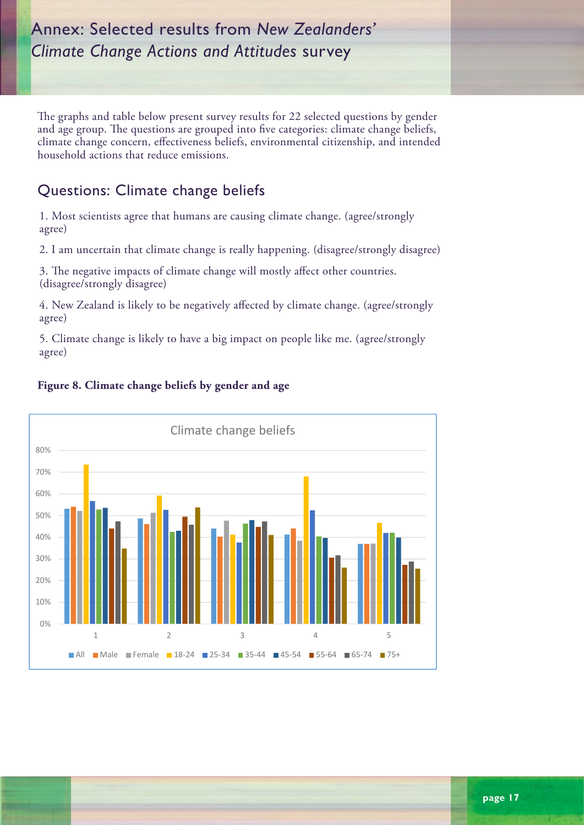# Annex: Selected results from *New Zealanders' Climate Change Actions and Attitudes* survey

The graphs and table below present survey results for 22 selected questions by gender and age group. The questions are grouped into five categories: climate change beliefs, climate change concern, effectiveness beliefs, environmental citizenship, and intended household actions that reduce emissions household actions that reduce emissions.

# Questions: Climate change beliefs

1. Most scientists agree that humans are causing climate change. (agree/strongly agree) concerns, environmental citizenship, environmental citizenship, and intended household actions that  $\alpha$ 

2. I am uncertain that climate change is really happening. (disagree/strongly disagree)

3. The negative impacts of climate change will mostly affect other countries. (disagree/strongly disagree)  $\overline{0}$  and  $\overline{0}$  agreements are causing change. (agreements agreements agreements)

4. New Zealand is likely to be negatively affected by climate change. (agree/strongly agree) 3. The negative impacts of climate change will mostly affect other countries. (*disagree/strongly* 

5. Climate change is likely to have a big impact on people like me. (agree/strongly agree)  $\text{tree}$ )



## **Figure 8. Climate change beliefs by gender and age**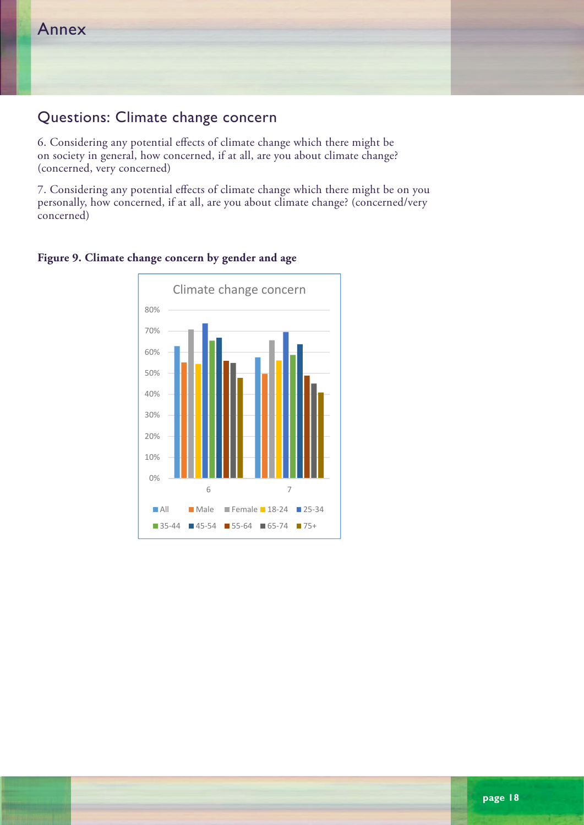# Questions: Climate change concern

6. Considering any potential effects of climate change which there might be on society in general, how concerned, if at all, are you about climate change? (concerned, very concerned) and considering any potential effects of contact  $\epsilon$ general, how concerned, if at all, are you about climate change? (concerned, very second) (concerned, very second

7. Considering any potential effects of climate change which there might be on you personally, how concerned, if at all, are you about climate change? (concerned/very concerned)  $p$ ed, if at all, are you about concerned, if at all, are you about climate change? (concerned)



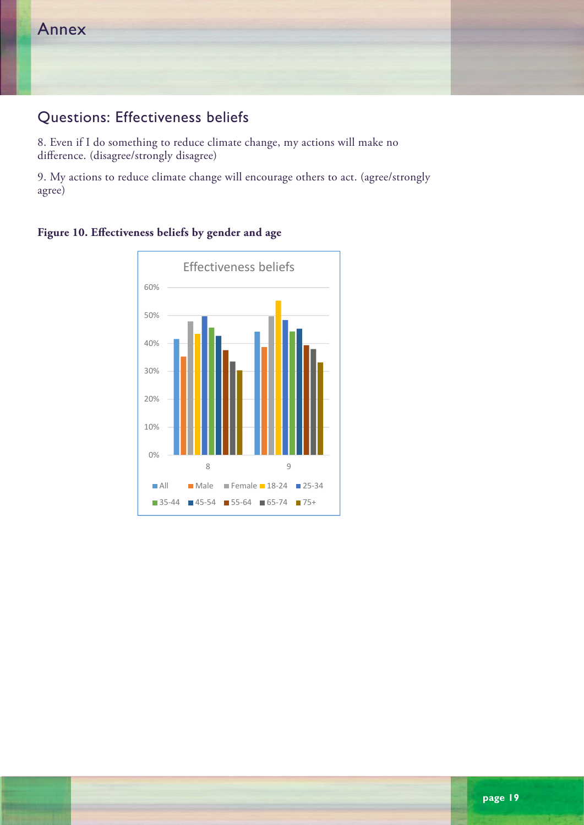## Questions: Effectiveness beliefs

8. Even if I do something to reduce climate change, my actions will make no of Even if I as sometiming to readed emitted as<br>difference. (disagree/strongly disagree)

9. My actions to reduce climate change will encourage others to act. (agree/strongly agree)

**Figure 10. Effectiveness beliefs by gender and age Figure A3: Effectiveness beliefs by gender and age** 

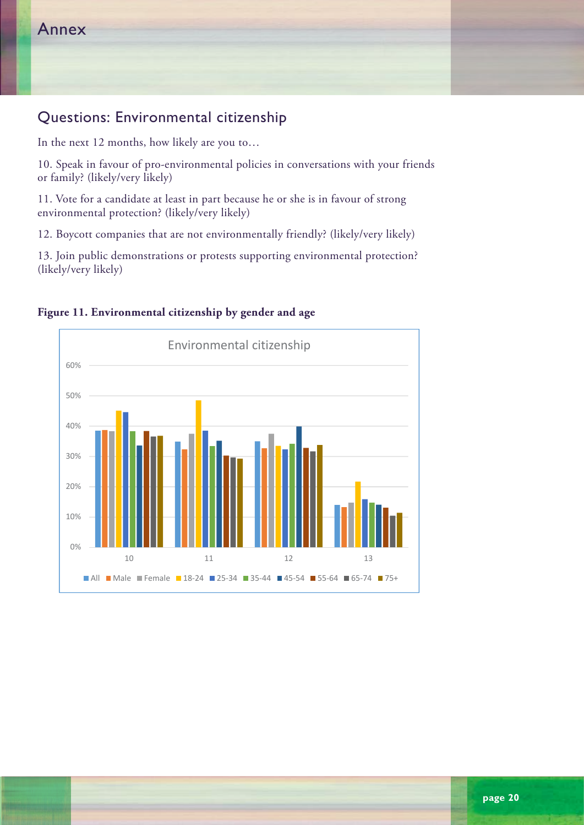## Questions: Environmental citizenship

In the next 12 months, how likely are you to…

10. Speak in favour of pro-environmental policies in conversations with your friends or family? (likely/very likely)

11. Vote for a candidate at least in part because he or she is in favour of strong environmental protection? (likely/very likely)

12. Boycott companies that are not environmentally friendly? (likely/very likely) protection? (where  $\frac{1}{2}$  very likely)

13. Join public demonstrations or protests supporting environmental protection? (likely/very likely)  $\frac{1}{2}$  . The public demonstrations supporting environmental protections supporting environmental protections  $\frac{1}{2}$ 



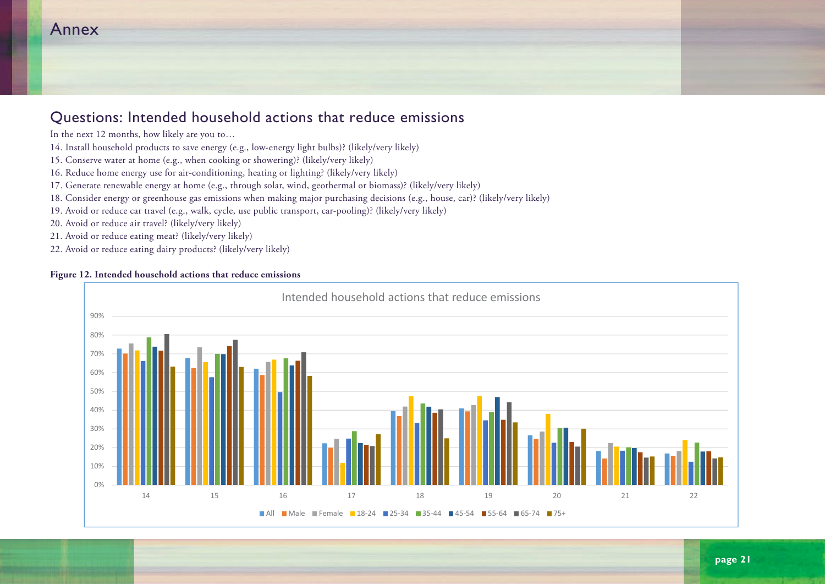# Annex

#### Questions: Intended household actions that reduce emissions **Questions: Intended household actions that reduce emissions**  In the next 12 months are you to more in the world are you to more you to more than  $\alpha$

- In the next 12 months, how likely are you to…
- 14. Install household products to save energy (e.g., low-energy light bulbs)? (likely/very likely) 14. Install household products to save energy (e.g., low-energy light bulbs)? (likely/very likely)
- 15. Conserve water at home (e.g., when cooking or showering)? (likely/very likely) 15. Conserve water at home (e.g., when cooking or showering)? (likely/very likely)
- 16. Reduce home energy use for air-conditioning, heating or lighting? (likely/very likely) 16. Reduce home energy use for air-conditioning, heating or lighting? (likely/very likely)
- 17. Generate renewable energy at home (e.g., through solar, wind, geothermal or biomass)? (likely/very likely) 17. Generate renewable energy at home (e.g., through solar, wind, geothermal or biomass)? (likely/very likely)
- 18. Consider energy or greenhouse gas emissions when making major purchasing decisions (e.g., house, car)? (likely/very likely)
- 19. Avoid or reduce car travel (e.g., walk, cycle, use public transport, car-pooling)? (likely/very likely) 19. Avoid or reduce car travel (e.g., walk, cycle, use public transport, car-pooling)? (likely/very likely)
- 20. Avoid or reduce air travel? (likely/very likely)  $20.402 \text{ cm}^2$  (likely/very likely)
- 21. Avoid or reduce eating meat? (likely/very likely)
- 22. Avoid or reduce eating dairy products? (likely/very likely)  $22.22.$  Avoid or reduce eating dairy products? (likely)

#### **Figure 12. Intended household actions that reduce emissions Figure A5: Intended household actions that reduce emissions**



21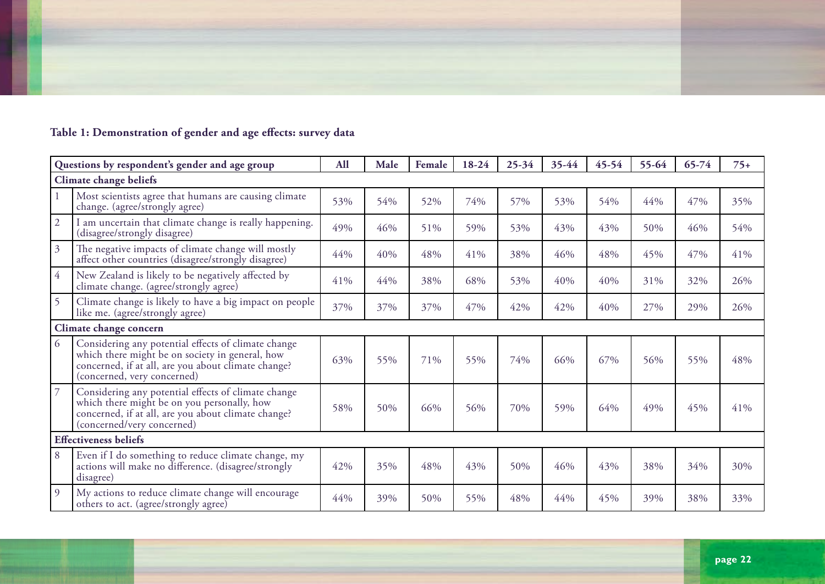

# **Table 1: Demonstration of gender and age effects: survey data**

| Questions by respondent's gender and age group |                                                                                                                                                                                              | <b>All</b> | Male | Female | 18-24 | $25 - 34$ | 35-44 | $45 - 54$ | $55 - 64$ | $65 - 74$ | $75+$ |
|------------------------------------------------|----------------------------------------------------------------------------------------------------------------------------------------------------------------------------------------------|------------|------|--------|-------|-----------|-------|-----------|-----------|-----------|-------|
| Climate change beliefs                         |                                                                                                                                                                                              |            |      |        |       |           |       |           |           |           |       |
|                                                | Most scientists agree that humans are causing climate<br>change. (agree/strongly agree)                                                                                                      | 53%        | 54%  | 52%    | 74%   | 57%       | 53%   | 54%       | 44%       | 47%       | 35%   |
| $\overline{2}$                                 | I am uncertain that climate change is really happening.<br>(disagree/strongly disagree)                                                                                                      | 49%        | 46%  | 51%    | 59%   | 53%       | 43%   | 43%       | 50%       | 46%       | 54%   |
| $\mathfrak{Z}$                                 | The negative impacts of climate change will mostly<br>affect other countries (disagree/strongly disagree)                                                                                    | 44%        | 40%  | 48%    | 41%   | 38%       | 46%   | 48%       | 45%       | 47%       | 41%   |
| $\overline{4}$                                 | New Zealand is likely to be negatively affected by<br>climate change. (agree/strongly agree)                                                                                                 | 41%        | 44%  | 38%    | 68%   | 53%       | 40%   | 40%       | 31%       | 32%       | 26%   |
| 5                                              | Climate change is likely to have a big impact on people<br>like me. (agree/strongly agree)                                                                                                   | 37%        | 37%  | 37%    | 47%   | 42%       | 42%   | 40%       | 27%       | 29%       | 26%   |
|                                                | Climate change concern                                                                                                                                                                       |            |      |        |       |           |       |           |           |           |       |
| 6                                              | Considering any potential effects of climate change<br>which there might be on society in general, how<br>concerned, if at all, are you about climate change?<br>(concerned, very concerned) | 63%        | 55%  | 71%    | 55%   | 74%       | 66%   | 67%       | 56%       | 55%       | 48%   |
| $\overline{7}$                                 | Considering any potential effects of climate change<br>which there might be on you personally, how<br>concerned, if at all, are you about climate change?<br>(concerned/very concerned)      | 58%        | 50%  | 66%    | 56%   | 70%       | 59%   | 64%       | 49%       | 45%       | 41%   |
| <b>Effectiveness beliefs</b>                   |                                                                                                                                                                                              |            |      |        |       |           |       |           |           |           |       |
| 8                                              | Even if I do something to reduce climate change, my<br>actions will make no difference. (disagree/strongly<br>disagree)                                                                      | 42%        | 35%  | 48%    | 43%   | 50%       | 46%   | 43%       | 38%       | 34%       | 30%   |
| 9                                              | My actions to reduce climate change will encourage<br>others to act. (agree/strongly agree)                                                                                                  | 44%        | 39%  | 50%    | 55%   | 48%       | 44%   | 45%       | 39%       | 38%       | 33%   |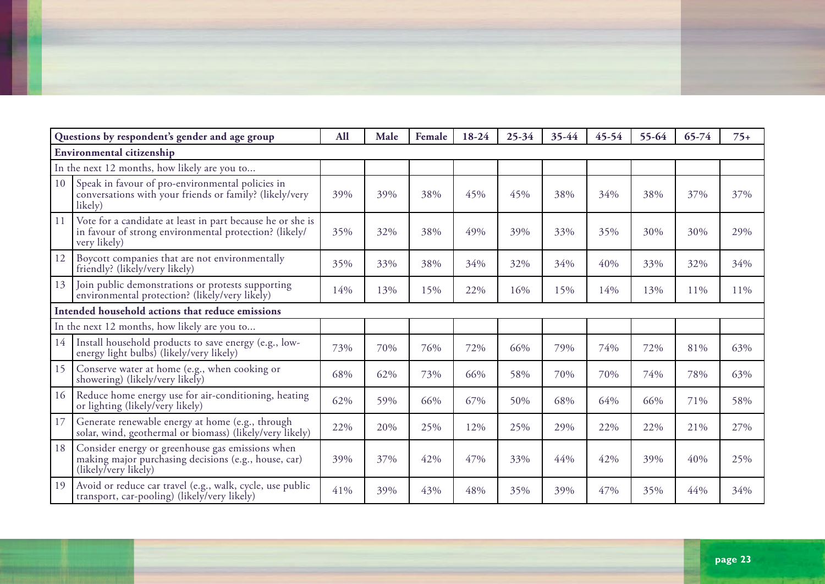| Questions by respondent's gender and age group   |                                                                                                                                      | <b>All</b> | Male | Female | 18-24 | $25 - 34$ | 35-44 | $45 - 54$ | 55-64 | $65 - 74$ | $75+$ |
|--------------------------------------------------|--------------------------------------------------------------------------------------------------------------------------------------|------------|------|--------|-------|-----------|-------|-----------|-------|-----------|-------|
| Environmental citizenship                        |                                                                                                                                      |            |      |        |       |           |       |           |       |           |       |
| In the next 12 months, how likely are you to     |                                                                                                                                      |            |      |        |       |           |       |           |       |           |       |
| 10                                               | Speak in favour of pro-environmental policies in<br>conversations with your friends or family? (likely/very<br>likely)               | 39%        | 39%  | 38%    | 45%   | 45%       | 38%   | 34%       | 38%   | 37%       | 37%   |
| 11                                               | Vote for a candidate at least in part because he or she is<br>in favour of strong environmental protection? (likely/<br>very likely) | 35%        | 32%  | 38%    | 49%   | 39%       | 33%   | 35%       | 30%   | 30%       | 29%   |
| 12                                               | Boycott companies that are not environmentally<br>friendly? (likely/very likely)                                                     | 35%        | 33%  | 38%    | 34%   | 32%       | 34%   | 40%       | 33%   | 32%       | 34%   |
| 13                                               | Join public demonstrations or protests supporting<br>environmental protection? (likely/very likely)                                  | 14%        | 13%  | 15%    | 22%   | 16%       | 15%   | 14%       | 13%   | 11%       | 11%   |
| Intended household actions that reduce emissions |                                                                                                                                      |            |      |        |       |           |       |           |       |           |       |
| In the next 12 months, how likely are you to     |                                                                                                                                      |            |      |        |       |           |       |           |       |           |       |
| 14                                               | Install household products to save energy (e.g., low-<br>energy light bulbs) (likely/very likely)                                    | 73%        | 70%  | 76%    | 72%   | 66%       | 79%   | 74%       | 72%   | 81%       | 63%   |
| 15                                               | Conserve water at home (e.g., when cooking or<br>showering) (likely/very likely)                                                     | 68%        | 62%  | 73%    | 66%   | 58%       | 70%   | 70%       | 74%   | 78%       | 63%   |
| 16                                               | Reduce home energy use for air-conditioning, heating<br>or lighting (likely/very likely)                                             | 62%        | 59%  | 66%    | 67%   | 50%       | 68%   | 64%       | 66%   | 71%       | 58%   |
| 17                                               | Generate renewable energy at home (e.g., through<br>solar, wind, geothermal or biomass) (likely/very likely)                         | 22%        | 20%  | 25%    | 12%   | 25%       | 29%   | 22%       | 22%   | 21%       | 27%   |
| 18                                               | Consider energy or greenhouse gas emissions when<br>making major purchasing decisions (e.g., house, car)<br>(likely/very likely)     | 39%        | 37%  | 42%    | 47%   | 33%       | 44%   | 42%       | 39%   | 40%       | 25%   |
| 19                                               | Avoid or reduce car travel (e.g., walk, cycle, use public<br>transport, car-pooling) (likely/very likely)                            | 41%        | 39%  | 43%    | 48%   | 35%       | 39%   | 47%       | 35%   | 44%       | 34%   |